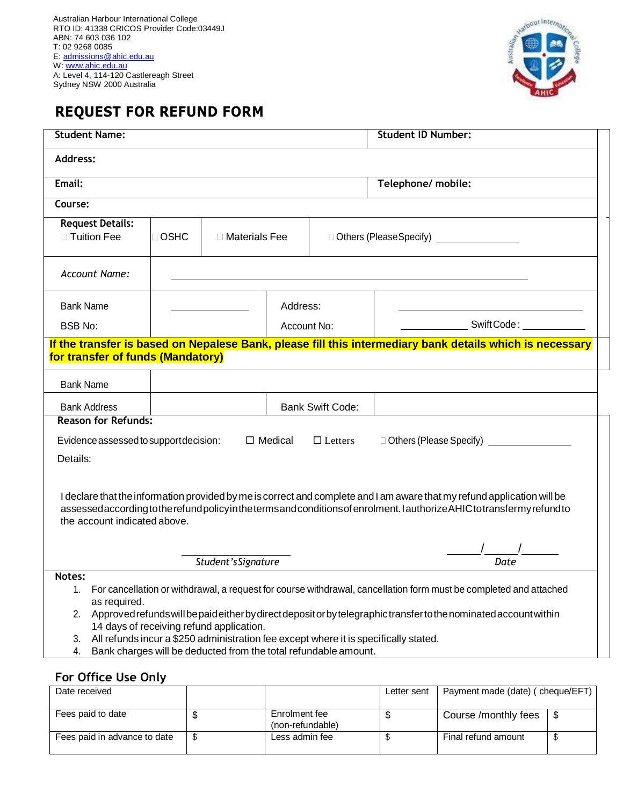

## **REQUEST FOR REFUND FORM**

| <b>Student Name:</b>                                                                                                                                                                                                                                                                                                                                                                                                                                                                            |                                                                                                                                  |  |                                                     |  | <b>Student ID Number:</b>        |  |  |
|-------------------------------------------------------------------------------------------------------------------------------------------------------------------------------------------------------------------------------------------------------------------------------------------------------------------------------------------------------------------------------------------------------------------------------------------------------------------------------------------------|----------------------------------------------------------------------------------------------------------------------------------|--|-----------------------------------------------------|--|----------------------------------|--|--|
| Address:                                                                                                                                                                                                                                                                                                                                                                                                                                                                                        |                                                                                                                                  |  |                                                     |  |                                  |  |  |
| Email:                                                                                                                                                                                                                                                                                                                                                                                                                                                                                          |                                                                                                                                  |  |                                                     |  | Telephone/ mobile:               |  |  |
| Course:                                                                                                                                                                                                                                                                                                                                                                                                                                                                                         |                                                                                                                                  |  |                                                     |  |                                  |  |  |
| <b>Request Details:</b><br>□ Tuition Fee                                                                                                                                                                                                                                                                                                                                                                                                                                                        | □ OSHC<br>$\Box$ Materials Fee                                                                                                   |  | □ Others (Please Specify) <u>__________________</u> |  |                                  |  |  |
| <b>Account Name:</b>                                                                                                                                                                                                                                                                                                                                                                                                                                                                            |                                                                                                                                  |  |                                                     |  |                                  |  |  |
| <b>Bank Name</b>                                                                                                                                                                                                                                                                                                                                                                                                                                                                                | Address:                                                                                                                         |  |                                                     |  |                                  |  |  |
| <b>BSB No:</b>                                                                                                                                                                                                                                                                                                                                                                                                                                                                                  |                                                                                                                                  |  | Account No:                                         |  | Swift Code: New York Swift Code: |  |  |
| If the transfer is based on Nepalese Bank, please fill this intermediary bank details which is necessary<br>for transfer of funds (Mandatory)                                                                                                                                                                                                                                                                                                                                                   |                                                                                                                                  |  |                                                     |  |                                  |  |  |
| <b>Bank Name</b>                                                                                                                                                                                                                                                                                                                                                                                                                                                                                |                                                                                                                                  |  |                                                     |  |                                  |  |  |
| <b>Bank Address</b>                                                                                                                                                                                                                                                                                                                                                                                                                                                                             | <b>Bank Swift Code:</b>                                                                                                          |  |                                                     |  |                                  |  |  |
| <b>Reason for Refunds:</b>                                                                                                                                                                                                                                                                                                                                                                                                                                                                      |                                                                                                                                  |  |                                                     |  |                                  |  |  |
|                                                                                                                                                                                                                                                                                                                                                                                                                                                                                                 | Evidence assessed to support decision:<br>$\Box$ Medical<br>□ Others (Please Specify) <u>_________________</u><br>$\Box$ Letters |  |                                                     |  |                                  |  |  |
| Details:                                                                                                                                                                                                                                                                                                                                                                                                                                                                                        |                                                                                                                                  |  |                                                     |  |                                  |  |  |
| I declare that the information provided by me is correct and complete and I am aware that my refund application will be<br>assessedaccording to the refund policy in the terms and conditions of enrolment. I authorize AHIC to transfermy refund to<br>the account indicated above.                                                                                                                                                                                                            |                                                                                                                                  |  |                                                     |  |                                  |  |  |
|                                                                                                                                                                                                                                                                                                                                                                                                                                                                                                 |                                                                                                                                  |  |                                                     |  |                                  |  |  |
| Student's Signature<br>Date                                                                                                                                                                                                                                                                                                                                                                                                                                                                     |                                                                                                                                  |  |                                                     |  |                                  |  |  |
| Notes:<br>For cancellation or withdrawal, a request for course withdrawal, cancellation form must be completed and attached<br>1.<br>as required.<br>Approved refunds will be paid either by direct deposit or by telegraphic transfer to the nominated account within<br>2.<br>14 days of receiving refund application.<br>All refunds incur a \$250 administration fee except where it is specifically stated.<br>3.<br>Bank charges will be deducted from the total refundable amount.<br>4. |                                                                                                                                  |  |                                                     |  |                                  |  |  |

## **For Office Use Only**

| Date received                |                                   | Letter sent | Payment made (date) (cheque/EFT) |  |
|------------------------------|-----------------------------------|-------------|----------------------------------|--|
| Fees paid to date            | Enrolment fee<br>(non-refundable) |             | Course /monthly fees             |  |
| Fees paid in advance to date | Less admin fee                    |             | Final refund amount              |  |